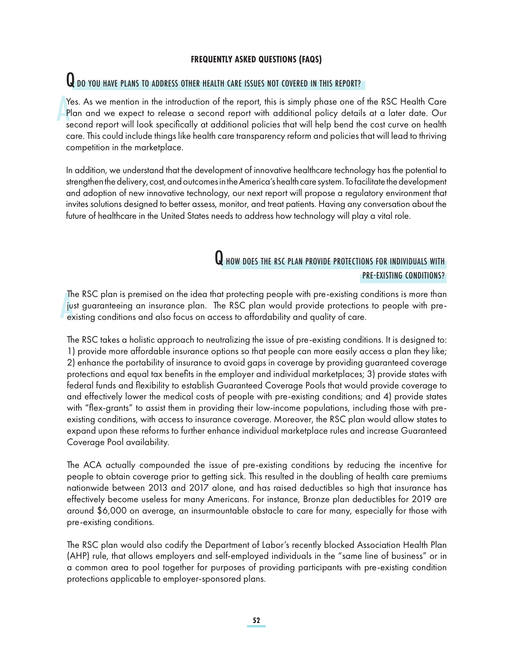#### **FREQUENTLY ASKED QUESTIONS (FAQS)**

# **Q** do you have plans to address other health care issues not covered in this report?

Yes. As we mention in the introduction of the report, this is simply phase one of the RSC Health Care Plan and we expect to release a second report with additional policy details at a later date. Our second report will look specifically at additional policies that will help bend the cost curve on health care. This could include things like health care transparency reform and policies that will lead to thriving competition in the marketplace.

In addition, we understand that the development of innovative healthcare technology has the potential to strengthen the delivery, cost, and outcomes in the America's health care system. To facilitate the development and adoption of new innovative technology, our next report will propose a regulatory environment that invites solutions designed to better assess, monitor, and treat patients. Having any conversation about the future of healthcare in the United States needs to address how technology will play a vital role.

### **Q** how does the RSC PLAN PROVIDE PROTECTIONS FOR INDIVIDUALS WITH PRE-EXISTING CONDITIONS?

The RSC plan is premised on the idea that protecting people with pre-existing conditions is more than just guaranteeing an insurance plan. The RSC plan would provide protections to people with preexisting conditions and also focus on access to affordability and quality of care.

The RSC takes a holistic approach to neutralizing the issue of pre-existing conditions. It is designed to: 1) provide more affordable insurance options so that people can more easily access a plan they like; 2) enhance the portability of insurance to avoid gaps in coverage by providing guaranteed coverage protections and equal tax benefits in the employer and individual marketplaces; 3) provide states with federal funds and flexibility to establish Guaranteed Coverage Pools that would provide coverage to and effectively lower the medical costs of people with pre-existing conditions; and 4) provide states with "flex-grants" to assist them in providing their low-income populations, including those with preexisting conditions, with access to insurance coverage. Moreover, the RSC plan would allow states to expand upon these reforms to further enhance individual marketplace rules and increase Guaranteed Coverage Pool availability.

The ACA actually compounded the issue of pre-existing conditions by reducing the incentive for people to obtain coverage prior to getting sick. This resulted in the doubling of health care premiums nationwide between 2013 and 2017 alone, and has raised deductibles so high that insurance has effectively become useless for many Americans. For instance, Bronze plan deductibles for 2019 are around \$6,000 on average, an insurmountable obstacle to care for many, especially for those with pre-existing conditions.

The RSC plan would also codify the Department of Labor's recently blocked Association Health Plan (AHP) rule, that allows employers and self-employed individuals in the "same line of business" or in a common area to pool together for purposes of providing participants with pre-existing condition protections applicable to employer-sponsored plans.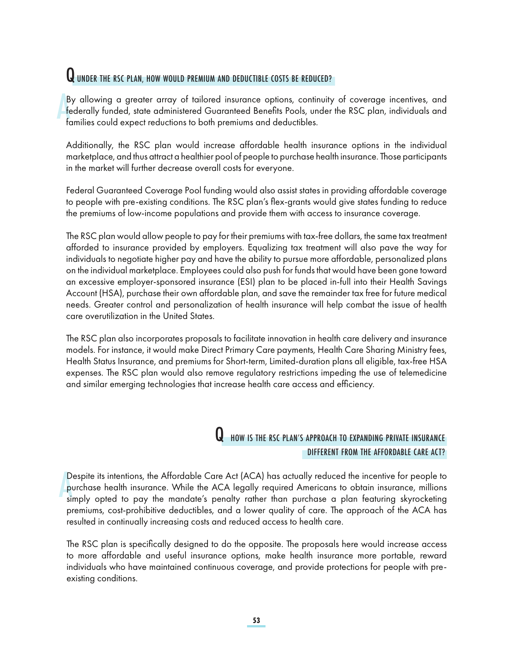# **Q** UNDER THE RSC PLAN, HOW WOULD PREMIUM AND DEDUCTIBLE COSTS BE REDUCED?

By allowing a greater array of tailored insurance options, continuity of coverage incentives, and federally funded, state administered Guaranteed Benefits Pools, under the RSC plan, individuals and families could expect reductions to both premiums and deductibles.

Additionally, the RSC plan would increase affordable health insurance options in the individual marketplace, and thus attract a healthier pool of people to purchase health insurance. Those participants in the market will further decrease overall costs for everyone.

Federal Guaranteed Coverage Pool funding would also assist states in providing affordable coverage to people with pre-existing conditions. The RSC plan's flex-grants would give states funding to reduce the premiums of low-income populations and provide them with access to insurance coverage.

The RSC plan would allow people to pay for their premiums with tax-free dollars, the same tax treatment afforded to insurance provided by employers. Equalizing tax treatment will also pave the way for individuals to negotiate higher pay and have the ability to pursue more affordable, personalized plans on the individual marketplace. Employees could also push for funds that would have been gone toward an excessive employer-sponsored insurance (ESI) plan to be placed in-full into their Health Savings Account (HSA), purchase their own affordable plan, and save the remainder tax free for future medical needs. Greater control and personalization of health insurance will help combat the issue of health care overutilization in the United States.

The RSC plan also incorporates proposals to facilitate innovation in health care delivery and insurance models. For instance, it would make Direct Primary Care payments, Health Care Sharing Ministry fees, Health Status Insurance, and premiums for Short-term, Limited-duration plans all eligible, tax-free HSA expenses. The RSC plan would also remove regulatory restrictions impeding the use of telemedicine and similar emerging technologies that increase health care access and efficiency.

#### **Q** HOW IS THE RSC PLAN'S APPROACH TO EXPANDING PRIVATE INSURANCE DIFFERENT FROM THE AFFORDABLE CARE ACT?

Despite its intentions, the Affordable Care Act (ACA) has actually reduced the incentive for people to purchase health insurance. While the ACA legally required Americans to obtain insurance, millions simply opted to pay the mandate's penalty rather than purchase a plan featuring skyrocketing premiums, cost-prohibitive deductibles, and a lower quality of care. The approach of the ACA has resulted in continually increasing costs and reduced access to health care.

The RSC plan is specifically designed to do the opposite. The proposals here would increase access to more affordable and useful insurance options, make health insurance more portable, reward individuals who have maintained continuous coverage, and provide protections for people with preexisting conditions.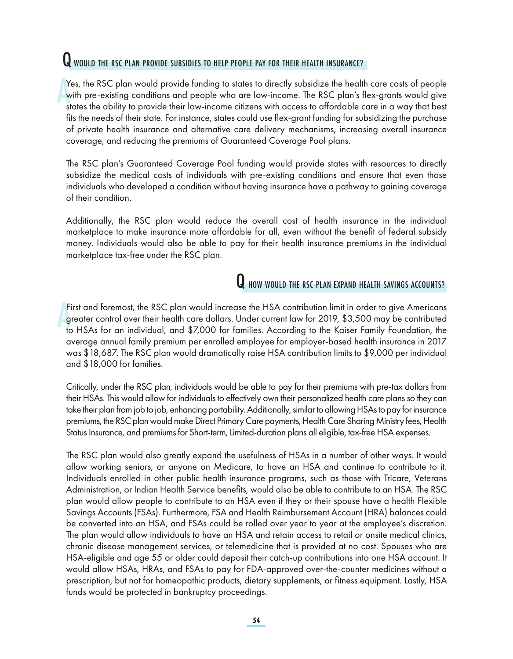# **Q** would the RSC PLAN PROVIDE SUBSIDIES TO HELP PEOPLE PAY FOR THEIR HEALTH INSURANCE?

Yes, the RSC plan would provide funding to states to directly subsidize the health care costs of people with pre-existing conditions and people who are low-income. The RSC plan's flex-grants would give states the ability to provide their low-income citizens with access to affordable care in a way that best fits the needs of their state. For instance, states could use flex-grant funding for subsidizing the purchase of private health insurance and alternative care delivery mechanisms, increasing overall insurance coverage, and reducing the premiums of Guaranteed Coverage Pool plans.

The RSC plan's Guaranteed Coverage Pool funding would provide states with resources to directly subsidize the medical costs of individuals with pre-existing conditions and ensure that even those individuals who developed a condition without having insurance have a pathway to gaining coverage of their condition.

Additionally, the RSC plan would reduce the overall cost of health insurance in the individual marketplace to make insurance more affordable for all, even without the benefit of federal subsidy money. Individuals would also be able to pay for their health insurance premiums in the individual marketplace tax-free under the RSC plan.

# **Q** HOW WOULD THE RSC PLAN EXPAND HEALTH SAVINGS ACCOUNTS?

First and foremost, the RSC plan would increase the HSA contribution limit in order to give Americans greater control over their health care dollars. Under current law for 2019, \$3,500 may be contributed to HSAs for an individual, and \$7,000 for families. According to the Kaiser Family Foundation, the average annual family premium per enrolled employee for employer-based health insurance in 2017 was \$18,687. The RSC plan would dramatically raise HSA contribution limits to \$9,000 per individual and \$18,000 for families.

Critically, under the RSC plan, individuals would be able to pay for their premiums with pre-tax dollars from their HSAs. This would allow for individuals to effectively own their personalized health care plans so they can take their plan from job to job, enhancing portability. Additionally, similar to allowing HSAs to pay for insurance premiums, the RSC plan would make Direct Primary Care payments, Health Care Sharing Ministry fees, Health Status Insurance, and premiums for Short-term, Limited-duration plans all eligible, tax-free HSA expenses.

The RSC plan would also greatly expand the usefulness of HSAs in a number of other ways. It would allow working seniors, or anyone on Medicare, to have an HSA and continue to contribute to it. Individuals enrolled in other public health insurance programs, such as those with Tricare, Veterans Administration, or Indian Health Service benefits, would also be able to contribute to an HSA. The RSC plan would allow people to contribute to an HSA even if they or their spouse have a health Flexible Savings Accounts (FSAs). Furthermore, FSA and Health Reimbursement Account (HRA) balances could be converted into an HSA, and FSAs could be rolled over year to year at the employee's discretion. The plan would allow individuals to have an HSA and retain access to retail or onsite medical clinics, chronic disease management services, or telemedicine that is provided at no cost. Spouses who are HSA-eligible and age 55 or older could deposit their catch-up contributions into one HSA account. It would allow HSAs, HRAs, and FSAs to pay for FDA-approved over-the-counter medicines without a prescription, but not for homeopathic products, dietary supplements, or fitness equipment. Lastly, HSA funds would be protected in bankruptcy proceedings.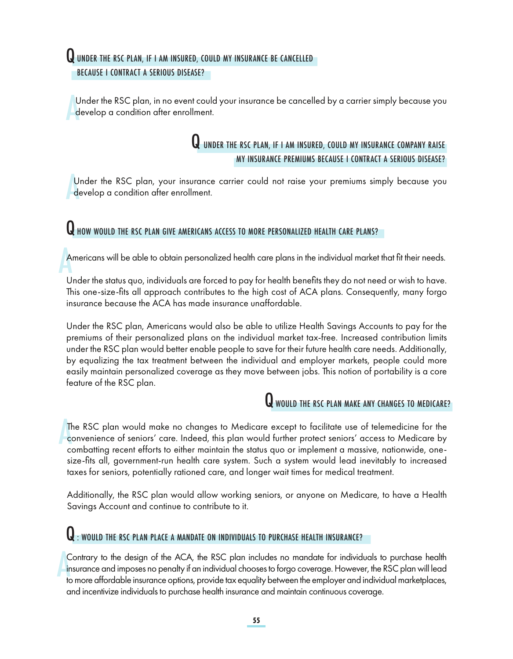# **Q** UNDER THE RSC PLAN, IF I AM INSURED, COULD MY INSURANCE BE CANCELLED

BECAUSE I CONTRACT A SERIOUS DISEASE?

Under the RSC plan, in no event could your insurance be cancelled by a carrier simply because you develop a condition after enrollment.

### **Q** UNDER THE RSC PLAN, IF I AM INSURED, COULD MY INSURANCE COMPANY RAISE MY INSURANCE PREMIUMS BECAUSE I CONTRACT A SERIOUS DISEASE?

Under the RSC plan, your insurance carrier could not raise your premiums simply because you develop a condition after enrollment.

# Q HOW WOULD THE RSC PLAN GIVE AMERICANS ACCESS TO MORE PERSONALIZED HEALTH CARE PLANS?

Americans will be able to obtain personalized health care plans in the individual market that fit their needs.

Under the status quo, individuals are forced to pay for health benefits they do not need or wish to have. This one-size-fits all approach contributes to the high cost of ACA plans. Consequently, many forgo insurance because the ACA has made insurance unaffordable.

Under the RSC plan, Americans would also be able to utilize Health Savings Accounts to pay for the premiums of their personalized plans on the individual market tax-free. Increased contribution limits under the RSC plan would better enable people to save for their future health care needs. Additionally, by equalizing the tax treatment between the individual and employer markets, people could more easily maintain personalized coverage as they move between jobs. This notion of portability is a core feature of the RSC plan.

# **Q** would the RSC PLAN MAKE ANY CHANGES TO MEDICARE?

The RSC plan would make no changes to Medicare except to facilitate use of telemedicine for the convenience of seniors' care. Indeed, this plan would further protect seniors' access to Medicare by combatting recent efforts to either maintain the status quo or implement a massive, nationwide, onesize-fits all, government-run health care system. Such a system would lead inevitably to increased taxes for seniors, potentially rationed care, and longer wait times for medical treatment.

Additionally, the RSC plan would allow working seniors, or anyone on Medicare, to have a Health Savings Account and continue to contribute to it.

# $\mathbf Q$  : would the RSC plan place a mandate on individuals to purchase health insurance?

Contrary to the design of the ACA, the RSC plan includes no mandate for individuals to purchase health insurance and imposes no penalty if an individual chooses to forgo coverage. However, the RSC plan will lead to more affordable insurance options, provide tax equality between the employer and individual marketplaces, and incentivize individuals to purchase health insurance and maintain continuous coverage.